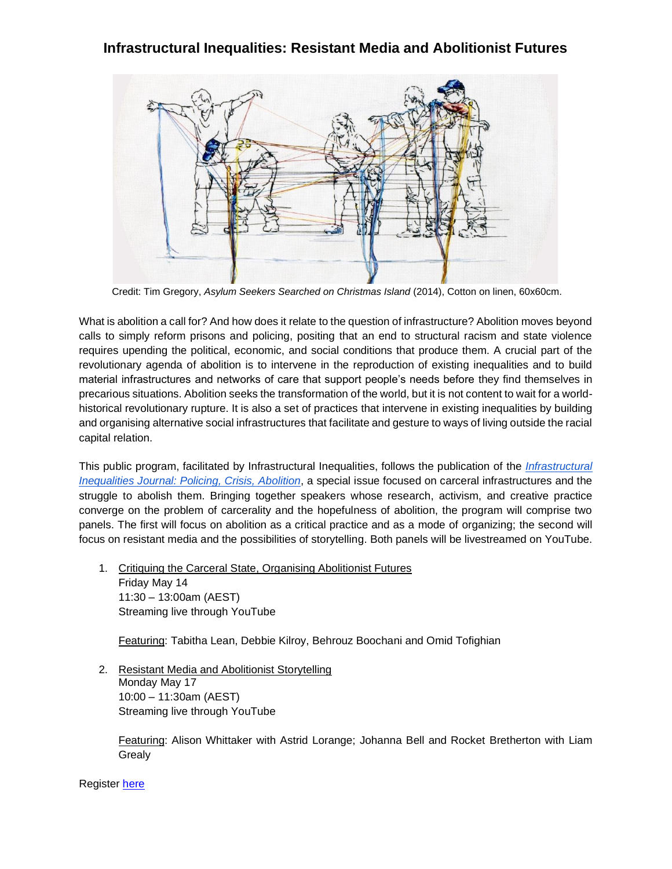## **Infrastructural Inequalities: Resistant Media and Abolitionist Futures**



Credit: Tim Gregory, *Asylum Seekers Searched on Christmas Island* (2014), Cotton on linen, 60x60cm.

What is abolition a call for? And how does it relate to the question of infrastructure? Abolition moves beyond calls to simply reform prisons and policing, positing that an end to structural racism and state violence requires upending the political, economic, and social conditions that produce them. A crucial part of the revolutionary agenda of abolition is to intervene in the reproduction of existing inequalities and to build material infrastructures and networks of care that support people's needs before they find themselves in precarious situations. Abolition seeks the transformation of the world, but it is not content to wait for a worldhistorical revolutionary rupture. It is also a set of practices that intervene in existing inequalities by building and organising alternative social infrastructures that facilitate and gesture to ways of living outside the racial capital relation.

This public program, facilitated by Infrastructural Inequalities, follows the publication of the *[Infrastructural](https://infrastructuralinequalities.net/issue-2/)  [Inequalities Journal: Policing, Crisis, Abolition](https://infrastructuralinequalities.net/issue-2/)*, a special issue focused on carceral infrastructures and the struggle to abolish them. Bringing together speakers whose research, activism, and creative practice converge on the problem of carcerality and the hopefulness of abolition, the program will comprise two panels. The first will focus on abolition as a critical practice and as a mode of organizing; the second will focus on resistant media and the possibilities of storytelling. Both panels will be livestreamed on YouTube.

1. Critiquing the Carceral State, Organising Abolitionist Futures Friday May 14 11:30 – 13:00am (AEST) Streaming live through YouTube

Featuring: Tabitha Lean, Debbie Kilroy, Behrouz Boochani and Omid Tofighian

2. Resistant Media and Abolitionist Storytelling Monday May 17 10:00 – 11:30am (AEST) Streaming live through YouTube

Featuring: Alison Whittaker with Astrid Lorange; Johanna Bell and Rocket Bretherton with Liam Grealy

Register [here](https://www.eventbrite.com.au/e/infrastructural-inequalities-resistant-media-and-abolitionist-futures-tickets-148523215937)